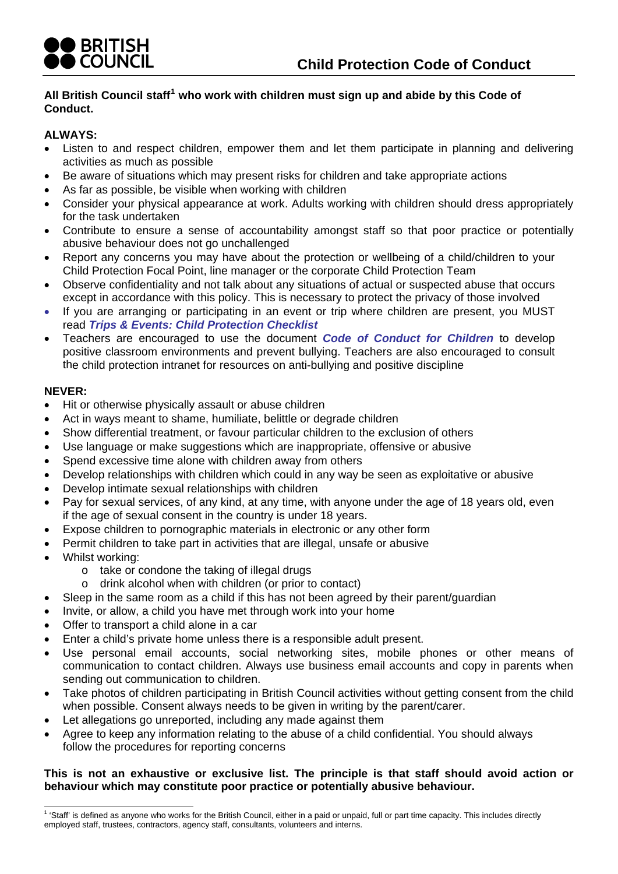

## **All British Council staff[1](#page-0-0) who work with children must sign up and abide by this Code of Conduct.**

## **ALWAYS:**

- Listen to and respect children, empower them and let them participate in planning and delivering activities as much as possible
- Be aware of situations which may present risks for children and take appropriate actions
- As far as possible, be visible when working with children
- Consider your physical appearance at work. Adults working with children should dress appropriately for the task undertaken
- Contribute to ensure a sense of accountability amongst staff so that poor practice or potentially abusive behaviour does not go unchallenged
- Report any concerns you may have about the protection or wellbeing of a child/children to your Child Protection Focal Point, line manager or the corporate Child Protection Team
- Observe confidentiality and not talk about any situations of actual or suspected abuse that occurs except in accordance with this policy. This is necessary to protect the privacy of those involved
- If you are arranging or participating in an event or trip where children are present, you MUST read *Trips & Events: Child Protection Checklist*
- positive classroom environments and prevent bullying. Teachers are also encouraged to consult the child protection intranet for resources on anti-bullying and positive discipline Teachers are encouraged to use the document *Code of Conduct for Children* to develop

## **NEVER:**

- Hit or otherwise physically assault or abuse children
- Act in ways meant to shame, humiliate, belittle or degrade children
- Show differential treatment, or favour particular children to the exclusion of others
- Use language or make suggestions which are inappropriate, offensive or abusive
- Spend excessive time alone with children away from others
- Develop relationships with children which could in any way be seen as exploitative or abusive
- Develop intimate sexual relationships with children
- Pay for sexual services, of any kind, at any time, with anyone under the age of 18 years old, even if the age of sexual consent in the country is under 18 years.
- Expose children to pornographic materials in electronic or any other form
- Permit children to take part in activities that are illegal, unsafe or abusive
- Whilst working:
	- o take or condone the taking of illegal drugs
	- o drink alcohol when with children (or prior to contact)
- Sleep in the same room as a child if this has not been agreed by their parent/guardian
- Invite, or allow, a child you have met through work into your home
- Offer to transport a child alone in a car
- Enter a child's private home unless there is a responsible adult present.
- communication to contact children. Always use business email accounts and copy in parents when Use personal email accounts, social networking sites, mobile phones or other means of sending out communication to children.
- Take photos of children participating in British Council activities without getting consent from the child when possible. Consent always needs to be given in writing by the parent/carer.
- Let allegations go unreported, including any made against them
- Agree to keep any information relating to the abuse of a child confidential. You should always follow the procedures for reporting concerns

## This is not an exhaustive or exclusive list. The principle is that staff should avoid action or behaviour which may constitute poor practice or potentially abusive behaviour.

<span id="page-0-0"></span> 1 'Staff' is defined as anyone who works for the British Council, either in a paid or unpaid, full or part time capacity. This includes directly employed staff, trustees, contractors, agency staff, consultants, volunteers and interns.